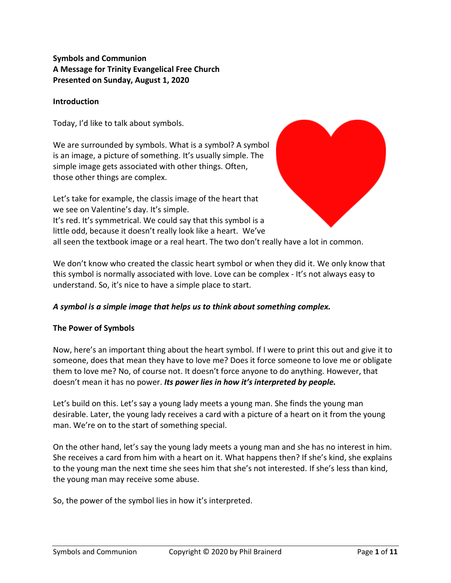# **Symbols and Communion A Message for Trinity Evangelical Free Church Presented on Sunday, August 1, 2020**

### **Introduction**

Today, I'd like to talk about symbols.

We are surrounded by symbols. What is a symbol? A symbol is an image, a picture of something. It's usually simple. The simple image gets associated with other things. Often, those other things are complex.

Let's take for example, the classis image of the heart that we see on Valentine's day. It's simple. It's red. It's symmetrical. We could say that this symbol is a little odd, because it doesn't really look like a heart. We've all seen the textbook image or a real heart. The two don't really have a lot in common.

We don't know who created the classic heart symbol or when they did it. We only know that this symbol is normally associated with love. Love can be complex - It's not always easy to understand. So, it's nice to have a simple place to start.

#### *A symbol is a simple image that helps us to think about something complex.*

#### **The Power of Symbols**

Now, here's an important thing about the heart symbol. If I were to print this out and give it to someone, does that mean they have to love me? Does it force someone to love me or obligate them to love me? No, of course not. It doesn't force anyone to do anything. However, that doesn't mean it has no power. *Its power lies in how it's interpreted by people.*

Let's build on this. Let's say a young lady meets a young man. She finds the young man desirable. Later, the young lady receives a card with a picture of a heart on it from the young man. We're on to the start of something special.

On the other hand, let's say the young lady meets a young man and she has no interest in him. She receives a card from him with a heart on it. What happens then? If she's kind, she explains to the young man the next time she sees him that she's not interested. If she's less than kind, the young man may receive some abuse.

So, the power of the symbol lies in how it's interpreted.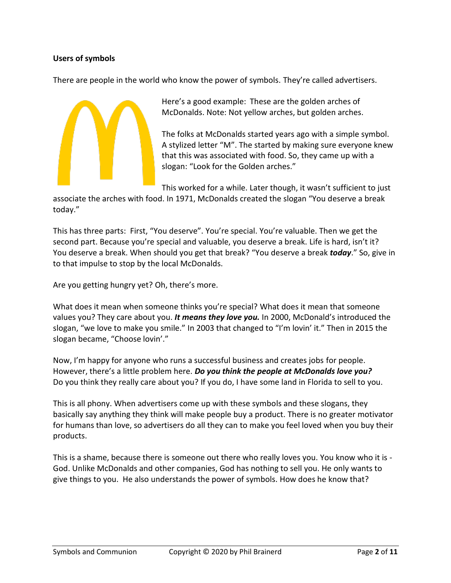## **Users of symbols**

There are people in the world who know the power of symbols. They're called advertisers.



Here's a good example: These are the golden arches of McDonalds. Note: Not yellow arches, but golden arches.

The folks at McDonalds started years ago with a simple symbol. A stylized letter "M". The started by making sure everyone knew that this was associated with food. So, they came up with a slogan: "Look for the Golden arches."

This worked for a while. Later though, it wasn't sufficient to just

associate the arches with food. In 1971, McDonalds created the slogan "You deserve a break today."

This has three parts: First, "You deserve". You're special. You're valuable. Then we get the second part. Because you're special and valuable, you deserve a break. Life is hard, isn't it? You deserve a break. When should you get that break? "You deserve a break *today*." So, give in to that impulse to stop by the local McDonalds.

Are you getting hungry yet? Oh, there's more.

What does it mean when someone thinks you're special? What does it mean that someone values you? They care about you. *It means they love you.* In 2000, McDonald's introduced the slogan, "we love to make you smile." In 2003 that changed to "I'm lovin' it." Then in 2015 the slogan became, "Choose lovin'."

Now, I'm happy for anyone who runs a successful business and creates jobs for people. However, there's a little problem here. *Do you think the people at McDonalds love you?* Do you think they really care about you? If you do, I have some land in Florida to sell to you.

This is all phony. When advertisers come up with these symbols and these slogans, they basically say anything they think will make people buy a product. There is no greater motivator for humans than love, so advertisers do all they can to make you feel loved when you buy their products.

This is a shame, because there is someone out there who really loves you. You know who it is - God. Unlike McDonalds and other companies, God has nothing to sell you. He only wants to give things to you. He also understands the power of symbols. How does he know that?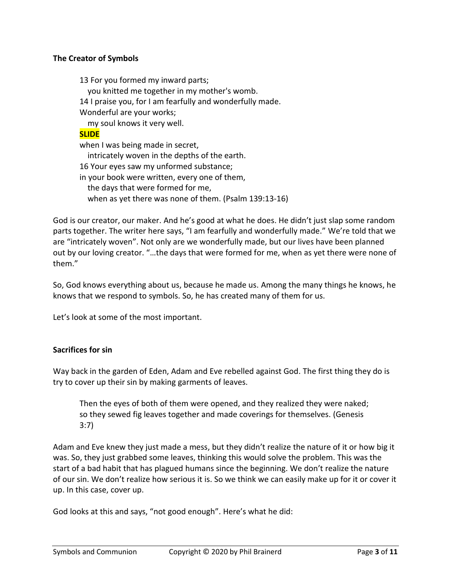### **The Creator of Symbols**

13 For you formed my inward parts; you knitted me together in my mother's womb. 14 I praise you, for I am fearfully and wonderfully made. Wonderful are your works; my soul knows it very well. **SLIDE** when I was being made in secret, intricately woven in the depths of the earth. 16 Your eyes saw my unformed substance; in your book were written, every one of them, the days that were formed for me, when as yet there was none of them. (Psalm 139:13-16)

God is our creator, our maker. And he's good at what he does. He didn't just slap some random parts together. The writer here says, "I am fearfully and wonderfully made." We're told that we are "intricately woven". Not only are we wonderfully made, but our lives have been planned out by our loving creator. "…the days that were formed for me, when as yet there were none of them."

So, God knows everything about us, because he made us. Among the many things he knows, he knows that we respond to symbols. So, he has created many of them for us.

Let's look at some of the most important.

#### **Sacrifices for sin**

Way back in the garden of Eden, Adam and Eve rebelled against God. The first thing they do is try to cover up their sin by making garments of leaves.

Then the eyes of both of them were opened, and they realized they were naked; so they sewed fig leaves together and made coverings for themselves. (Genesis 3:7)

Adam and Eve knew they just made a mess, but they didn't realize the nature of it or how big it was. So, they just grabbed some leaves, thinking this would solve the problem. This was the start of a bad habit that has plagued humans since the beginning. We don't realize the nature of our sin. We don't realize how serious it is. So we think we can easily make up for it or cover it up. In this case, cover up.

God looks at this and says, "not good enough". Here's what he did: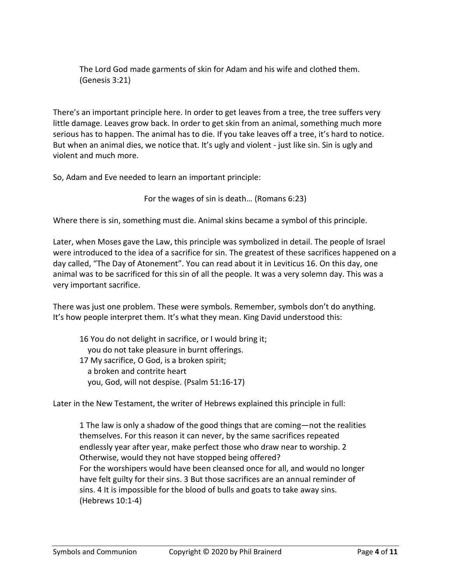The Lord God made garments of skin for Adam and his wife and clothed them. (Genesis 3:21)

There's an important principle here. In order to get leaves from a tree, the tree suffers very little damage. Leaves grow back. In order to get skin from an animal, something much more serious has to happen. The animal has to die. If you take leaves off a tree, it's hard to notice. But when an animal dies, we notice that. It's ugly and violent - just like sin. Sin is ugly and violent and much more.

So, Adam and Eve needed to learn an important principle:

For the wages of sin is death… (Romans 6:23)

Where there is sin, something must die. Animal skins became a symbol of this principle.

Later, when Moses gave the Law, this principle was symbolized in detail. The people of Israel were introduced to the idea of a sacrifice for sin. The greatest of these sacrifices happened on a day called, "The Day of Atonement". You can read about it in Leviticus 16. On this day, one animal was to be sacrificed for this sin of all the people. It was a very solemn day. This was a very important sacrifice.

There was just one problem. These were symbols. Remember, symbols don't do anything. It's how people interpret them. It's what they mean. King David understood this:

16 You do not delight in sacrifice, or I would bring it; you do not take pleasure in burnt offerings. 17 My sacrifice, O God, is a broken spirit; a broken and contrite heart you, God, will not despise. (Psalm 51:16-17)

Later in the New Testament, the writer of Hebrews explained this principle in full:

1 The law is only a shadow of the good things that are coming—not the realities themselves. For this reason it can never, by the same sacrifices repeated endlessly year after year, make perfect those who draw near to worship. 2 Otherwise, would they not have stopped being offered? For the worshipers would have been cleansed once for all, and would no longer have felt guilty for their sins. 3 But those sacrifices are an annual reminder of sins. 4 It is impossible for the blood of bulls and goats to take away sins. (Hebrews 10:1-4)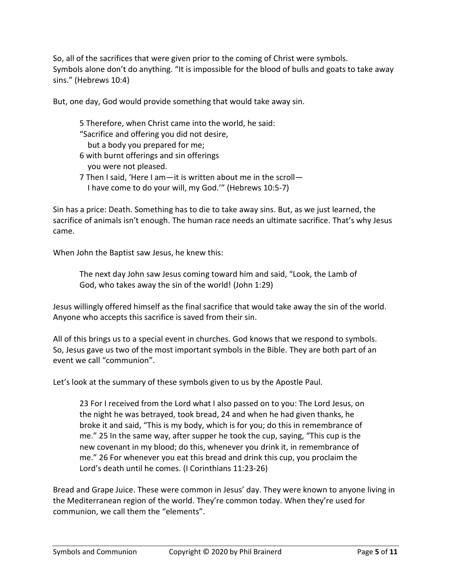So, all of the sacrifices that were given prior to the coming of Christ were symbols. Symbols alone don't do anything. "It is impossible for the blood of bulls and goats to take away sins." (Hebrews 10:4)

But, one day, God would provide something that would take away sin.

5 Therefore, when Christ came into the world, he said: "Sacrifice and offering you did not desire, but a body you prepared for me; 6 with burnt offerings and sin offerings you were not pleased. 7 Then I said, 'Here I am—it is written about me in the scroll— I have come to do your will, my God.'" (Hebrews 10:5-7)

Sin has a price: Death. Something has to die to take away sins. But, as we just learned, the sacrifice of animals isn't enough. The human race needs an ultimate sacrifice. That's why Jesus came.

When John the Baptist saw Jesus, he knew this:

The next day John saw Jesus coming toward him and said, "Look, the Lamb of God, who takes away the sin of the world! (John 1:29)

Jesus willingly offered himself as the final sacrifice that would take away the sin of the world. Anyone who accepts this sacrifice is saved from their sin.

All of this brings us to a special event in churches. God knows that we respond to symbols. So, Jesus gave us two of the most important symbols in the Bible. They are both part of an event we call "communion".

Let's look at the summary of these symbols given to us by the Apostle Paul.

23 For I received from the Lord what I also passed on to you: The Lord Jesus, on the night he was betrayed, took bread, 24 and when he had given thanks, he broke it and said, "This is my body, which is for you; do this in remembrance of me." 25 In the same way, after supper he took the cup, saying, "This cup is the new covenant in my blood; do this, whenever you drink it, in remembrance of me." 26 For whenever you eat this bread and drink this cup, you proclaim the Lord's death until he comes. (I Corinthians 11:23-26)

Bread and Grape Juice. These were common in Jesus' day. They were known to anyone living in the Mediterranean region of the world. They're common today. When they're used for communion, we call them the "elements".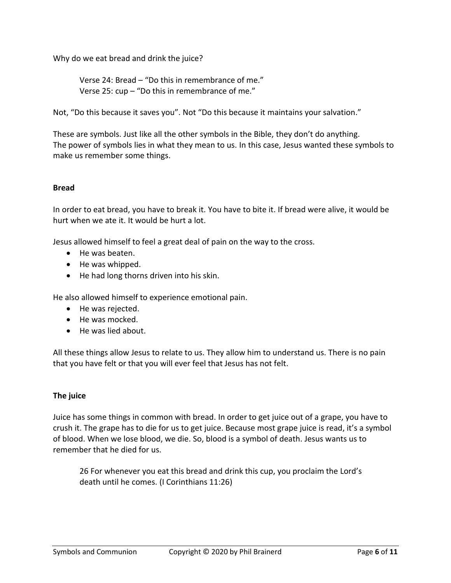Why do we eat bread and drink the juice?

Verse 24: Bread – "Do this in remembrance of me." Verse 25: cup – "Do this in remembrance of me."

Not, "Do this because it saves you". Not "Do this because it maintains your salvation."

These are symbols. Just like all the other symbols in the Bible, they don't do anything. The power of symbols lies in what they mean to us. In this case, Jesus wanted these symbols to make us remember some things.

#### **Bread**

In order to eat bread, you have to break it. You have to bite it. If bread were alive, it would be hurt when we ate it. It would be hurt a lot.

Jesus allowed himself to feel a great deal of pain on the way to the cross.

- He was beaten.
- He was whipped.
- He had long thorns driven into his skin.

He also allowed himself to experience emotional pain.

- He was rejected.
- He was mocked.
- He was lied about.

All these things allow Jesus to relate to us. They allow him to understand us. There is no pain that you have felt or that you will ever feel that Jesus has not felt.

#### **The juice**

Juice has some things in common with bread. In order to get juice out of a grape, you have to crush it. The grape has to die for us to get juice. Because most grape juice is read, it's a symbol of blood. When we lose blood, we die. So, blood is a symbol of death. Jesus wants us to remember that he died for us.

26 For whenever you eat this bread and drink this cup, you proclaim the Lord's death until he comes. (I Corinthians 11:26)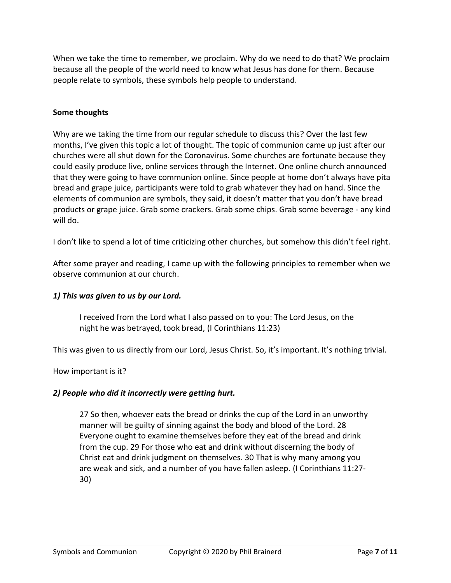When we take the time to remember, we proclaim. Why do we need to do that? We proclaim because all the people of the world need to know what Jesus has done for them. Because people relate to symbols, these symbols help people to understand.

#### **Some thoughts**

Why are we taking the time from our regular schedule to discuss this? Over the last few months, I've given this topic a lot of thought. The topic of communion came up just after our churches were all shut down for the Coronavirus. Some churches are fortunate because they could easily produce live, online services through the Internet. One online church announced that they were going to have communion online. Since people at home don't always have pita bread and grape juice, participants were told to grab whatever they had on hand. Since the elements of communion are symbols, they said, it doesn't matter that you don't have bread products or grape juice. Grab some crackers. Grab some chips. Grab some beverage - any kind will do.

I don't like to spend a lot of time criticizing other churches, but somehow this didn't feel right.

After some prayer and reading, I came up with the following principles to remember when we observe communion at our church.

## *1) This was given to us by our Lord.*

I received from the Lord what I also passed on to you: The Lord Jesus, on the night he was betrayed, took bread, (I Corinthians 11:23)

This was given to us directly from our Lord, Jesus Christ. So, it's important. It's nothing trivial.

How important is it?

#### *2) People who did it incorrectly were getting hurt.*

27 So then, whoever eats the bread or drinks the cup of the Lord in an unworthy manner will be guilty of sinning against the body and blood of the Lord. 28 Everyone ought to examine themselves before they eat of the bread and drink from the cup. 29 For those who eat and drink without discerning the body of Christ eat and drink judgment on themselves. 30 That is why many among you are weak and sick, and a number of you have fallen asleep. (I Corinthians 11:27- 30)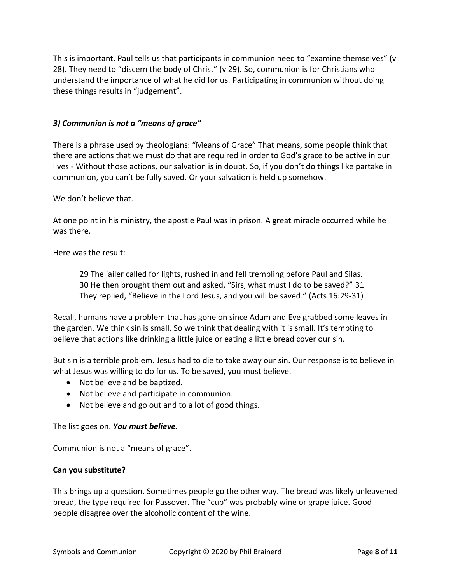This is important. Paul tells us that participants in communion need to "examine themselves" (v 28). They need to "discern the body of Christ" (v 29). So, communion is for Christians who understand the importance of what he did for us. Participating in communion without doing these things results in "judgement".

# *3) Communion is not a "means of grace"*

There is a phrase used by theologians: "Means of Grace" That means, some people think that there are actions that we must do that are required in order to God's grace to be active in our lives - Without those actions, our salvation is in doubt. So, if you don't do things like partake in communion, you can't be fully saved. Or your salvation is held up somehow.

We don't believe that.

At one point in his ministry, the apostle Paul was in prison. A great miracle occurred while he was there.

Here was the result:

29 The jailer called for lights, rushed in and fell trembling before Paul and Silas. 30 He then brought them out and asked, "Sirs, what must I do to be saved?" 31 They replied, "Believe in the Lord Jesus, and you will be saved." (Acts 16:29-31)

Recall, humans have a problem that has gone on since Adam and Eve grabbed some leaves in the garden. We think sin is small. So we think that dealing with it is small. It's tempting to believe that actions like drinking a little juice or eating a little bread cover our sin.

But sin is a terrible problem. Jesus had to die to take away our sin. Our response is to believe in what Jesus was willing to do for us. To be saved, you must believe.

- Not believe and be baptized.
- Not believe and participate in communion.
- Not believe and go out and to a lot of good things.

The list goes on. *You must believe.*

Communion is not a "means of grace".

#### **Can you substitute?**

This brings up a question. Sometimes people go the other way. The bread was likely unleavened bread, the type required for Passover. The "cup" was probably wine or grape juice. Good people disagree over the alcoholic content of the wine.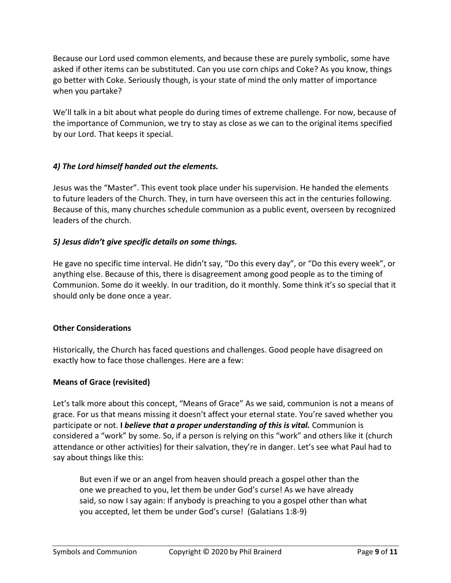Because our Lord used common elements, and because these are purely symbolic, some have asked if other items can be substituted. Can you use corn chips and Coke? As you know, things go better with Coke. Seriously though, is your state of mind the only matter of importance when you partake?

We'll talk in a bit about what people do during times of extreme challenge. For now, because of the importance of Communion, we try to stay as close as we can to the original items specified by our Lord. That keeps it special.

# *4) The Lord himself handed out the elements.*

Jesus was the "Master". This event took place under his supervision. He handed the elements to future leaders of the Church. They, in turn have overseen this act in the centuries following. Because of this, many churches schedule communion as a public event, overseen by recognized leaders of the church.

# *5) Jesus didn't give specific details on some things.*

He gave no specific time interval. He didn't say, "Do this every day", or "Do this every week", or anything else. Because of this, there is disagreement among good people as to the timing of Communion. Some do it weekly. In our tradition, do it monthly. Some think it's so special that it should only be done once a year.

## **Other Considerations**

Historically, the Church has faced questions and challenges. Good people have disagreed on exactly how to face those challenges. Here are a few:

## **Means of Grace (revisited)**

Let's talk more about this concept, "Means of Grace" As we said, communion is not a means of grace. For us that means missing it doesn't affect your eternal state. You're saved whether you participate or not. **I** *believe that a proper understanding of this is vital.* Communion is considered a "work" by some. So, if a person is relying on this "work" and others like it (church attendance or other activities) for their salvation, they're in danger. Let's see what Paul had to say about things like this:

But even if we or an angel from heaven should preach a gospel other than the one we preached to you, let them be under God's curse! As we have already said, so now I say again: If anybody is preaching to you a gospel other than what you accepted, let them be under God's curse! (Galatians 1:8-9)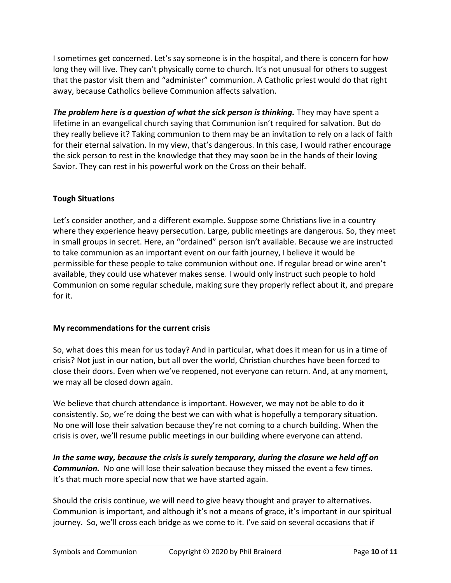I sometimes get concerned. Let's say someone is in the hospital, and there is concern for how long they will live. They can't physically come to church. It's not unusual for others to suggest that the pastor visit them and "administer" communion. A Catholic priest would do that right away, because Catholics believe Communion affects salvation.

*The problem here is a question of what the sick person is thinking.* They may have spent a lifetime in an evangelical church saying that Communion isn't required for salvation. But do they really believe it? Taking communion to them may be an invitation to rely on a lack of faith for their eternal salvation. In my view, that's dangerous. In this case, I would rather encourage the sick person to rest in the knowledge that they may soon be in the hands of their loving Savior. They can rest in his powerful work on the Cross on their behalf.

# **Tough Situations**

Let's consider another, and a different example. Suppose some Christians live in a country where they experience heavy persecution. Large, public meetings are dangerous. So, they meet in small groups in secret. Here, an "ordained" person isn't available. Because we are instructed to take communion as an important event on our faith journey, I believe it would be permissible for these people to take communion without one. If regular bread or wine aren't available, they could use whatever makes sense. I would only instruct such people to hold Communion on some regular schedule, making sure they properly reflect about it, and prepare for it.

## **My recommendations for the current crisis**

So, what does this mean for us today? And in particular, what does it mean for us in a time of crisis? Not just in our nation, but all over the world, Christian churches have been forced to close their doors. Even when we've reopened, not everyone can return. And, at any moment, we may all be closed down again.

We believe that church attendance is important. However, we may not be able to do it consistently. So, we're doing the best we can with what is hopefully a temporary situation. No one will lose their salvation because they're not coming to a church building. When the crisis is over, we'll resume public meetings in our building where everyone can attend.

*In the same way, because the crisis is surely temporary, during the closure we held off on Communion.* No one will lose their salvation because they missed the event a few times. It's that much more special now that we have started again.

Should the crisis continue, we will need to give heavy thought and prayer to alternatives. Communion is important, and although it's not a means of grace, it's important in our spiritual journey. So, we'll cross each bridge as we come to it. I've said on several occasions that if